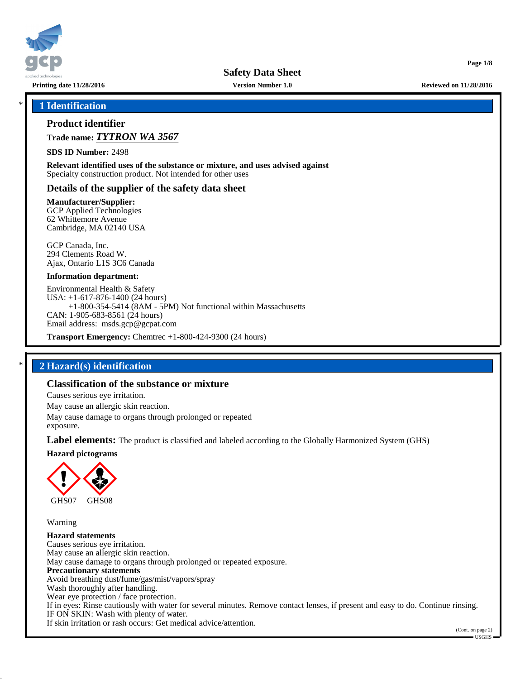

**Printing date 11/28/2016 Version Number 1.0 Reviewed on 11/28/2016**

**Page 1/8**

#### \* **1 Identification**

#### **Product identifier**

**Trade name:** *TYTRON WA 3567*

**SDS ID Number:** 2498

**Relevant identified uses of the substance or mixture, and uses advised against** Specialty construction product. Not intended for other uses

#### **Details of the supplier of the safety data sheet**

**Manufacturer/Supplier:**

GCP Applied Technologies 62 Whittemore Avenue Cambridge, MA 02140 USA

GCP Canada, Inc. 294 Clements Road W. Ajax, Ontario L1S 3C6 Canada

#### **Information department:**

Environmental Health & Safety USA: +1-617-876-1400 (24 hours) +1-800-354-5414 (8AM - 5PM) Not functional within Massachusetts CAN: 1-905-683-8561 (24 hours) Email address: msds.gcp@gcpat.com

**Transport Emergency:** Chemtrec +1-800-424-9300 (24 hours)

## \* **2 Hazard(s) identification**

## **Classification of the substance or mixture**

Causes serious eye irritation.

May cause an allergic skin reaction.

May cause damage to organs through prolonged or repeated

exposure.

**Label elements:** The product is classified and labeled according to the Globally Harmonized System (GHS)

**Hazard pictograms**



Warning

**Hazard statements** Causes serious eye irritation. May cause an allergic skin reaction. May cause damage to organs through prolonged or repeated exposure. **Precautionary statements** Avoid breathing dust/fume/gas/mist/vapors/spray Wash thoroughly after handling. Wear eye protection / face protection. If in eyes: Rinse cautiously with water for several minutes. Remove contact lenses, if present and easy to do. Continue rinsing. IF ON SKIN: Wash with plenty of water. If skin irritation or rash occurs: Get medical advice/attention.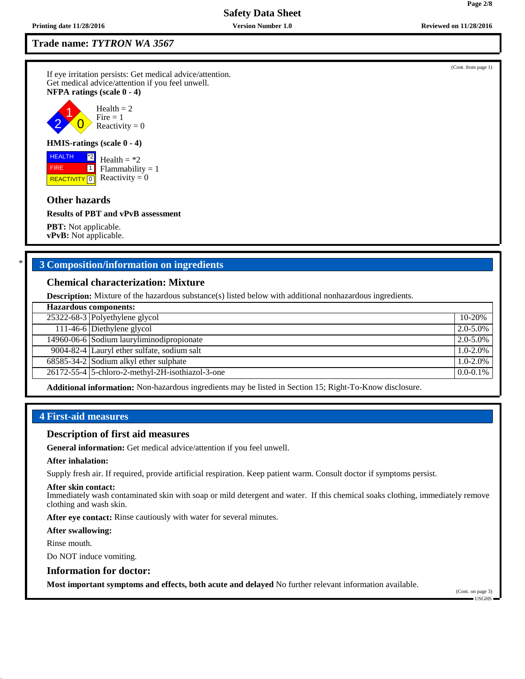#### **Trade name:** *TYTRON WA 3567*

If eye irritation persists: Get medical advice/attention. Get medical advice/attention if you feel unwell. **NFPA ratings (scale 0 - 4)**



#### **HMIS-ratings (scale 0 - 4)**

<mark>| REACTIVITY</mark> | 0 \*2  $\boxed{1}$ Health  $=$  \*2  $Flammability = 1$ Reactivity  $= 0$ 

#### **Other hazards**

 HEALTH FIRE

**Results of PBT and vPvB assessment**

**PBT:** Not applicable. **vPvB:** Not applicable.

## \* **3 Composition/information on ingredients**

#### **Chemical characterization: Mixture**

**Description:** Mixture of the hazardous substance(s) listed below with additional nonhazardous ingredients.

| <b>Hazardous components:</b> |                                                      |               |  |  |
|------------------------------|------------------------------------------------------|---------------|--|--|
|                              | 25322-68-3 Polyethylene glycol                       | 10-20%        |  |  |
|                              | 111-46-6 Diethylene glycol                           | $2.0 - 5.0\%$ |  |  |
|                              | 14960-06-6 Sodium lauryliminodipropionate            | 2.0-5.0%      |  |  |
|                              | 9004-82-4 Lauryl ether sulfate, sodium salt          | $1.0 - 2.0\%$ |  |  |
|                              | $\overline{68585}$ -34-2 Sodium alkyl ether sulphate | $1.0 - 2.0\%$ |  |  |
|                              | 26172-55-4 5-chloro-2-methyl-2H-isothiazol-3-one     | $0.0 - 0.1\%$ |  |  |
|                              |                                                      |               |  |  |

**Additional information:** Non-hazardous ingredients may be listed in Section 15; Right-To-Know disclosure.

## **4 First-aid measures**

#### **Description of first aid measures**

**General information:** Get medical advice/attention if you feel unwell.

#### **After inhalation:**

Supply fresh air. If required, provide artificial respiration. Keep patient warm. Consult doctor if symptoms persist.

#### **After skin contact:**

Immediately wash contaminated skin with soap or mild detergent and water. If this chemical soaks clothing, immediately remove clothing and wash skin.

**After eye contact:** Rinse cautiously with water for several minutes.

#### **After swallowing:**

Rinse mouth.

Do NOT induce vomiting.

#### **Information for doctor:**

**Most important symptoms and effects, both acute and delayed** No further relevant information available.

**Page 2/8**

(Cont. from page 1)

 $\blacksquare$  USGHS  $\blacksquare$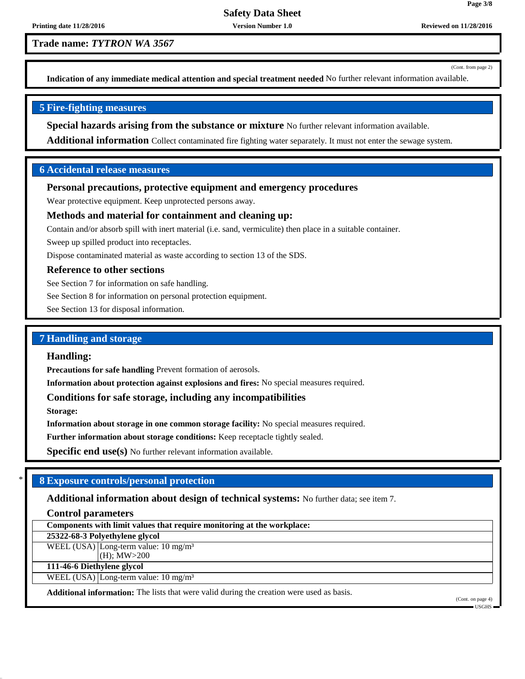**Trade name:** *TYTRON WA 3567*

(Cont. from page 2)

**Page 3/8**

**Indication of any immediate medical attention and special treatment needed** No further relevant information available.

## **5 Fire-fighting measures**

**Special hazards arising from the substance or mixture** No further relevant information available.

**Additional information** Collect contaminated fire fighting water separately. It must not enter the sewage system.

## **6 Accidental release measures**

#### **Personal precautions, protective equipment and emergency procedures**

Wear protective equipment. Keep unprotected persons away.

## **Methods and material for containment and cleaning up:**

Contain and/or absorb spill with inert material (i.e. sand, vermiculite) then place in a suitable container.

Sweep up spilled product into receptacles.

Dispose contaminated material as waste according to section 13 of the SDS.

#### **Reference to other sections**

See Section 7 for information on safe handling.

See Section 8 for information on personal protection equipment.

See Section 13 for disposal information.

#### **7 Handling and storage**

#### **Handling:**

**Precautions for safe handling** Prevent formation of aerosols.

**Information about protection against explosions and fires:** No special measures required.

## **Conditions for safe storage, including any incompatibilities**

**Storage:**

**Information about storage in one common storage facility:** No special measures required.

**Further information about storage conditions:** Keep receptacle tightly sealed.

**Specific end use(s)** No further relevant information available.

## \* **8 Exposure controls/personal protection**

**Additional information about design of technical systems:** No further data; see item 7.

#### **Control parameters**

**Components with limit values that require monitoring at the workplace:**

**25322-68-3 Polyethylene glycol**

WEEL (USA) Long-term value: 10 mg/m<sup>3</sup>

(H); MW>200 **111-46-6 Diethylene glycol**

WEEL (USA) Long-term value:  $10 \text{ mg/m}^3$ 

**Additional information:** The lists that were valid during the creation were used as basis.

(Cont. on page 4) USGHS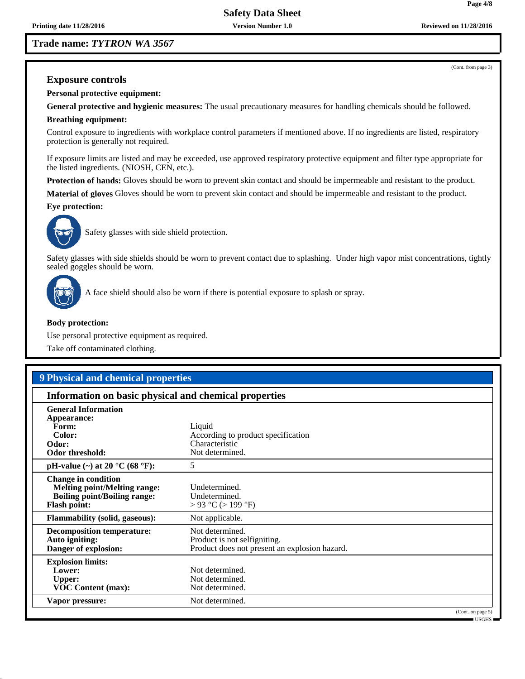**Trade name:** *TYTRON WA 3567*

(Cont. from page 3)

**Page 4/8**

## **Exposure controls**

**Personal protective equipment:**

**General protective and hygienic measures:** The usual precautionary measures for handling chemicals should be followed.

#### **Breathing equipment:**

Control exposure to ingredients with workplace control parameters if mentioned above. If no ingredients are listed, respiratory protection is generally not required.

If exposure limits are listed and may be exceeded, use approved respiratory protective equipment and filter type appropriate for the listed ingredients. (NIOSH, CEN, etc.).

**Protection of hands:** Gloves should be worn to prevent skin contact and should be impermeable and resistant to the product.

**Material of gloves** Gloves should be worn to prevent skin contact and should be impermeable and resistant to the product.

#### **Eye protection:**



Safety glasses with side shield protection.

Safety glasses with side shields should be worn to prevent contact due to splashing. Under high vapor mist concentrations, tightly sealed goggles should be worn.



A face shield should also be worn if there is potential exposure to splash or spray.

#### **Body protection:**

Use personal protective equipment as required.

Take off contaminated clothing.

## **9 Physical and chemical properties**

#### **Information on basic physical and chemical properties**

| <b>General Information</b><br>Appearance:<br>Form:<br>Color:<br>Odor:<br>Odor threshold:                                        | Liquid<br>According to product specification<br>Characteristic<br>Not determined.                |  |
|---------------------------------------------------------------------------------------------------------------------------------|--------------------------------------------------------------------------------------------------|--|
| pH-value $(\sim)$ at 20 °C (68 °F):                                                                                             | 5                                                                                                |  |
| <b>Change in condition</b><br><b>Melting point/Melting range:</b><br><b>Boiling point/Boiling range:</b><br><b>Flash point:</b> | Undetermined.<br>Undetermined.<br>> 93 °C (> 199 °F)                                             |  |
| <b>Flammability (solid, gaseous):</b>                                                                                           | Not applicable.                                                                                  |  |
| <b>Decomposition temperature:</b><br>Auto igniting:<br>Danger of explosion:                                                     | Not determined.<br>Product is not selfigniting.<br>Product does not present an explosion hazard. |  |
| <b>Explosion limits:</b><br>Lower:<br><b>Upper:</b><br><b>VOC Content (max):</b>                                                | Not determined.<br>Not determined.<br>Not determined.                                            |  |
| Vapor pressure:                                                                                                                 | Not determined.                                                                                  |  |
|                                                                                                                                 | (Cont. on page 5)<br>$-$ USGHS $-$                                                               |  |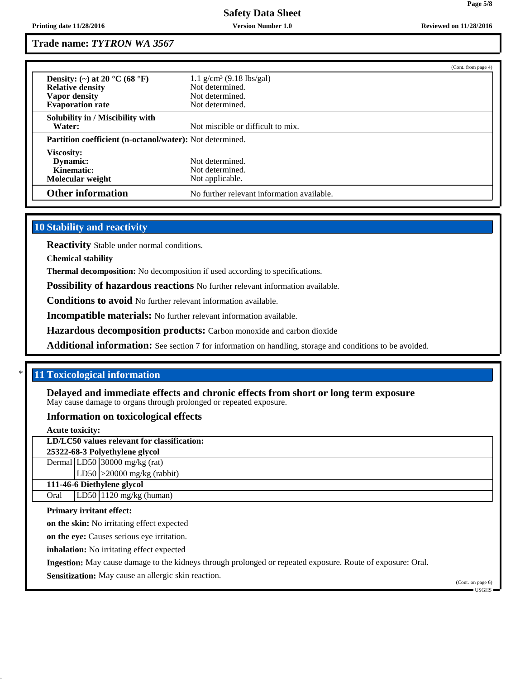## **Trade name:** *TYTRON WA 3567*

|                                                                              |                                                       | (Cont. from page 4) |
|------------------------------------------------------------------------------|-------------------------------------------------------|---------------------|
| Density: (~) at 20 $^{\circ}$ C (68 $^{\circ}$ F)<br><b>Relative density</b> | 1.1 $g/cm^3$ (9.18 lbs/gal)<br>Not determined.        |                     |
| Vapor density                                                                | Not determined.                                       |                     |
| <b>Evaporation rate</b>                                                      | Not determined.                                       |                     |
| Solubility in / Miscibility with<br>Water:                                   | Not miscible or difficult to mix.                     |                     |
| <b>Partition coefficient (n-octanol/water):</b> Not determined.              |                                                       |                     |
| Viscosity:<br><b>Dynamic:</b><br>Kinematic:<br>Molecular weight              | Not determined.<br>Not determined.<br>Not applicable. |                     |
| <b>Other information</b>                                                     | No further relevant information available.            |                     |

## **10 Stability and reactivity**

**Reactivity** Stable under normal conditions.

**Chemical stability**

**Thermal decomposition:** No decomposition if used according to specifications.

**Possibility of hazardous reactions** No further relevant information available.

**Conditions to avoid** No further relevant information available.

**Incompatible materials:** No further relevant information available.

**Hazardous decomposition products:** Carbon monoxide and carbon dioxide

**Additional information:** See section 7 for information on handling, storage and conditions to be avoided.

## \* **11 Toxicological information**

**Delayed and immediate effects and chronic effects from short or long term exposure** May cause damage to organs through prolonged or repeated exposure.

#### **Information on toxicological effects**

**Acute toxicity:**

**LD/LC50 values relevant for classification:**

**25322-68-3 Polyethylene glycol**

Dermal LD50 30000 mg/kg (rat) LD50 >20000 mg/kg (rabbit)

**111-46-6 Diethylene glycol**

Oral  $|LD50|1120$  mg/kg (human)

#### **Primary irritant effect:**

**on the skin:** No irritating effect expected

**on the eye:** Causes serious eye irritation.

**inhalation:** No irritating effect expected

**Ingestion:** May cause damage to the kidneys through prolonged or repeated exposure. Route of exposure: Oral.

**Sensitization:** May cause an allergic skin reaction.

(Cont. on page 6) USGHS

**Page 5/8**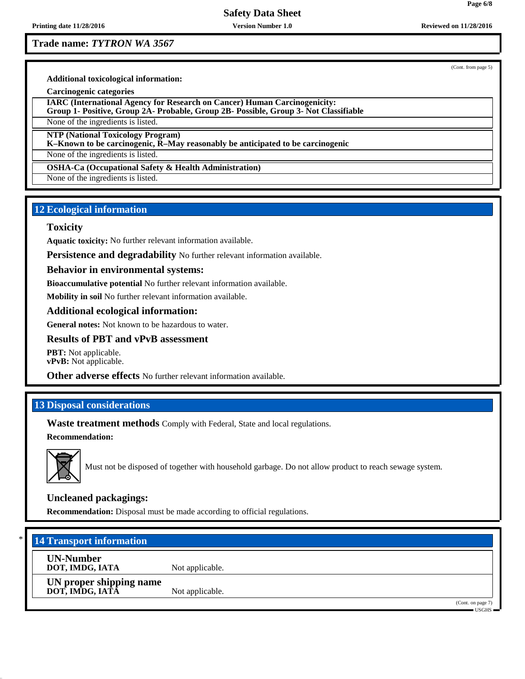**Printing date 11/28/2016 Version Number 1.0 Reviewed on 11/28/2016**

## **Safety Data Sheet**

**Trade name:** *TYTRON WA 3567*

(Cont. from page 5)

**Additional toxicological information:**

**Carcinogenic categories**

**IARC (International Agency for Research on Cancer) Human Carcinogenicity: Group 1- Positive, Group 2A- Probable, Group 2B- Possible, Group 3- Not Classifiable**

None of the ingredients is listed.

**NTP (National Toxicology Program)**

**K–Known to be carcinogenic, R–May reasonably be anticipated to be carcinogenic**

None of the ingredients is listed.

**OSHA-Ca (Occupational Safety & Health Administration)**

None of the ingredients is listed.

## **12 Ecological information**

#### **Toxicity**

**Aquatic toxicity:** No further relevant information available.

**Persistence and degradability** No further relevant information available.

#### **Behavior in environmental systems:**

**Bioaccumulative potential** No further relevant information available.

**Mobility in soil** No further relevant information available.

## **Additional ecological information:**

**General notes:** Not known to be hazardous to water.

#### **Results of PBT and vPvB assessment**

**PBT:** Not applicable. **vPvB:** Not applicable.

**Other adverse effects** No further relevant information available.

## **13 Disposal considerations**

**Waste treatment methods** Comply with Federal, State and local regulations.

**Recommendation:**



Must not be disposed of together with household garbage. Do not allow product to reach sewage system.

#### **Uncleaned packagings:**

**Recommendation:** Disposal must be made according to official regulations.

## \* **14 Transport information**

**UN-Number**

**DOT, IMDG, IATA** Not applicable.

**UN proper shipping name DOT, IMDG, IATA** Not applicable.

(Cont. on page 7)

USGHS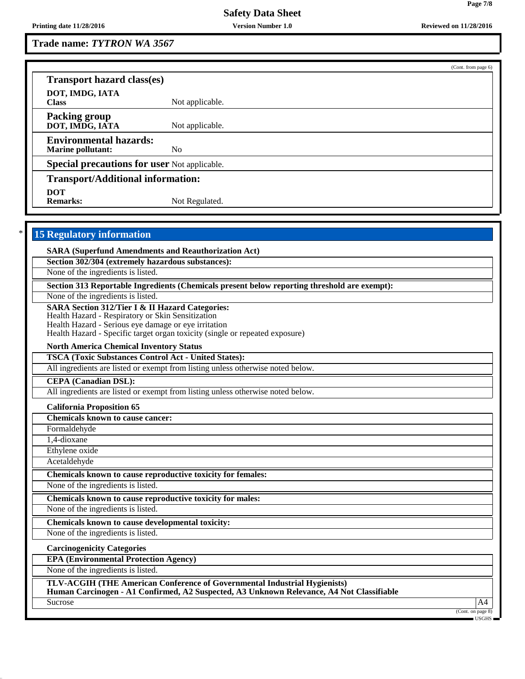**Trade name:** *TYTRON WA 3567*

| <b>Transport hazard class(es)</b>                           |                                                                                                                                                                       |                                            |
|-------------------------------------------------------------|-----------------------------------------------------------------------------------------------------------------------------------------------------------------------|--------------------------------------------|
| DOT, IMDG, IATA<br><b>Class</b>                             | Not applicable.                                                                                                                                                       |                                            |
| <b>Packing group</b><br>DOT, IMDG, IATA                     | Not applicable.                                                                                                                                                       |                                            |
| <b>Environmental hazards:</b><br><b>Marine pollutant:</b>   | N <sub>o</sub>                                                                                                                                                        |                                            |
| Special precautions for user Not applicable.                |                                                                                                                                                                       |                                            |
| <b>Transport/Additional information:</b>                    |                                                                                                                                                                       |                                            |
| <b>DOT</b><br><b>Remarks:</b>                               | Not Regulated.                                                                                                                                                        |                                            |
|                                                             |                                                                                                                                                                       |                                            |
| <b>15 Regulatory information</b>                            |                                                                                                                                                                       |                                            |
| <b>SARA (Superfund Amendments and Reauthorization Act)</b>  |                                                                                                                                                                       |                                            |
| Section 302/304 (extremely hazardous substances):           |                                                                                                                                                                       |                                            |
| None of the ingredients is listed.                          |                                                                                                                                                                       |                                            |
|                                                             | Section 313 Reportable Ingredients (Chemicals present below reporting threshold are exempt):                                                                          |                                            |
| None of the ingredients is listed.                          |                                                                                                                                                                       |                                            |
| <b>SARA Section 312/Tier I &amp; II Hazard Categories:</b>  |                                                                                                                                                                       |                                            |
| Health Hazard - Respiratory or Skin Sensitization           |                                                                                                                                                                       |                                            |
| Health Hazard - Serious eye damage or eye irritation        |                                                                                                                                                                       |                                            |
|                                                             | Health Hazard - Specific target organ toxicity (single or repeated exposure)                                                                                          |                                            |
| <b>North America Chemical Inventory Status</b>              |                                                                                                                                                                       |                                            |
| <b>TSCA (Toxic Substances Control Act - United States):</b> |                                                                                                                                                                       |                                            |
|                                                             | All ingredients are listed or exempt from listing unless otherwise noted below.                                                                                       |                                            |
| <b>CEPA</b> (Canadian DSL):                                 |                                                                                                                                                                       |                                            |
|                                                             | All ingredients are listed or exempt from listing unless otherwise noted below.                                                                                       |                                            |
| <b>California Proposition 65</b>                            |                                                                                                                                                                       |                                            |
| <b>Chemicals known to cause cancer:</b>                     |                                                                                                                                                                       |                                            |
| Formaldehyde                                                |                                                                                                                                                                       |                                            |
| 1,4-dioxane                                                 |                                                                                                                                                                       |                                            |
| Ethylene oxide                                              |                                                                                                                                                                       |                                            |
| Acetaldehyde                                                |                                                                                                                                                                       |                                            |
| Chemicals known to cause reproductive toxicity for females: |                                                                                                                                                                       |                                            |
| None of the ingredients is listed.                          |                                                                                                                                                                       |                                            |
| Chemicals known to cause reproductive toxicity for males:   |                                                                                                                                                                       |                                            |
| None of the ingredients is listed.                          |                                                                                                                                                                       |                                            |
| Chemicals known to cause developmental toxicity:            |                                                                                                                                                                       |                                            |
| None of the ingredients is listed.                          |                                                                                                                                                                       |                                            |
| <b>Carcinogenicity Categories</b>                           |                                                                                                                                                                       |                                            |
| <b>EPA (Environmental Protection Agency)</b>                |                                                                                                                                                                       |                                            |
| None of the ingredients is listed.                          |                                                                                                                                                                       |                                            |
|                                                             | TLV-ACGIH (THE American Conference of Governmental Industrial Hygienists)<br>Human Carcinogen - A1 Confirmed, A2 Suspected, A3 Unknown Relevance, A4 Not Classifiable |                                            |
| Sucrose                                                     |                                                                                                                                                                       | A4                                         |
|                                                             |                                                                                                                                                                       | (Cont. on page 8)<br>$\sim$ USGHS $\equiv$ |

(Cont. from page 6)